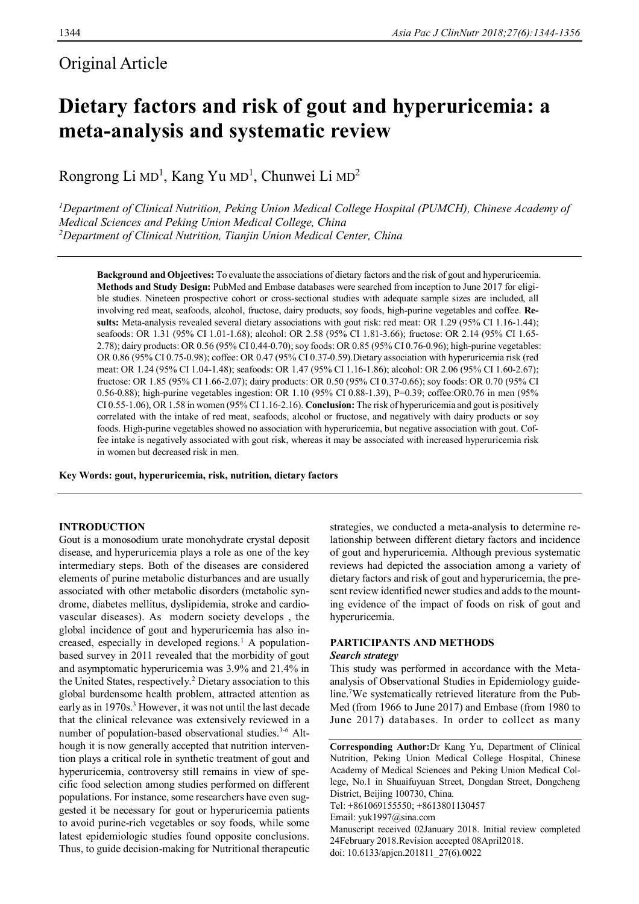## Original Article

# **Dietary factors and risk of gout and hyperuricemia: a meta-analysis and systematic review**

Rongrong Li MD<sup>1</sup>, Kang Yu MD<sup>1</sup>, Chunwei Li MD<sup>2</sup>

*<sup>1</sup>Department of Clinical Nutrition, Peking Union Medical College Hospital (PUMCH), Chinese Academy of Medical Sciences and Peking Union Medical College, China <sup>2</sup>Department of Clinical Nutrition, Tianjin Union Medical Center, China*

**Background and Objectives:** To evaluate the associations of dietary factors and the risk of gout and hyperuricemia. **Methods and Study Design:** PubMed and Embase databases were searched from inception to June 2017 for eligible studies. Nineteen prospective cohort or cross-sectional studies with adequate sample sizes are included, all involving red meat, seafoods, alcohol, fructose, dairy products, soy foods, high-purine vegetables and coffee. **Results:** Meta-analysis revealed several dietary associations with gout risk: red meat: OR 1.29 (95% CI 1.16-1.44); seafoods: OR 1.31 (95% CI 1.01-1.68); alcohol: OR 2.58 (95% CI 1.81-3.66); fructose: OR 2.14 (95% CI 1.65- 2.78); dairy products: OR 0.56 (95% CI 0.44-0.70); soy foods: OR 0.85 (95% CI 0.76-0.96); high-purine vegetables: OR 0.86 (95% CI 0.75-0.98); coffee: OR 0.47 (95% CI 0.37-0.59).Dietary association with hyperuricemia risk (red meat: OR 1.24 (95% CI 1.04-1.48); seafoods: OR 1.47 (95% CI 1.16-1.86); alcohol: OR 2.06 (95% CI 1.60-2.67); fructose: OR 1.85 (95% CI 1.66-2.07); dairy products: OR 0.50 (95% CI 0.37-0.66); soy foods: OR 0.70 (95% CI 0.56-0.88); high-purine vegetables ingestion: OR 1.10 (95% CI 0.88-1.39), P=0.39; coffee:OR0.76 in men (95% CI 0.55-1.06), OR 1.58 in women (95% CI 1.16-2.16). **Conclusion:** The risk of hyperuricemia and gout is positively correlated with the intake of red meat, seafoods, alcohol or fructose, and negatively with dairy products or soy foods. High-purine vegetables showed no association with hyperuricemia, but negative association with gout. Coffee intake is negatively associated with gout risk, whereas it may be associated with increased hyperuricemia risk in women but decreased risk in men.

**Key Words: gout, hyperuricemia, risk, nutrition, dietary factors**

### **INTRODUCTION**

Gout is a monosodium urate monohydrate crystal deposit disease, and hyperuricemia plays a role as one of the key intermediary steps. Both of the diseases are considered elements of purine metabolic disturbances and are usually associated with other metabolic disorders (metabolic syndrome, diabetes mellitus, dyslipidemia, stroke and cardiovascular diseases). As modern society develops , the global incidence of gout and hyperuricemia has also increased, especially in developed regions.<sup>1</sup> A populationbased survey in 2011 revealed that the morbidity of gout and asymptomatic hyperuricemia was 3.9% and 21.4% in the United States, respectively.<sup>2</sup> Dietary association to this global burdensome health problem, attracted attention as early as in 1970s.<sup>3</sup> However, it was not until the last decade that the clinical relevance was extensively reviewed in a number of population-based observational studies.<sup>3-6</sup> Although it is now generally accepted that nutrition intervention plays a critical role in synthetic treatment of gout and hyperuricemia, controversy still remains in view of specific food selection among studies performed on different populations. For instance, some researchers have even suggested it be necessary for gout or hyperuricemia patients to avoid purine-rich vegetables or soy foods, while some latest epidemiologic studies found opposite conclusions. Thus, to guide decision-making for Nutritional therapeutic

strategies, we conducted a meta-analysis to determine relationship between different dietary factors and incidence of gout and hyperuricemia. Although previous systematic reviews had depicted the association among a variety of dietary factors and risk of gout and hyperuricemia, the present review identified newer studies and adds to the mounting evidence of the impact of foods on risk of gout and hyperuricemia.

### **PARTICIPANTS AND METHODS**

### *Search strategy*

This study was performed in accordance with the Metaanalysis of Observational Studies in Epidemiology guideline.<sup>7</sup>We systematically retrieved literature from the Pub-Med (from 1966 to June 2017) and Embase (from 1980 to June 2017) databases. In order to collect as many

**Corresponding Author:**Dr Kang Yu, Department of Clinical Nutrition, Peking Union Medical College Hospital, Chinese Academy of Medical Sciences and Peking Union Medical College, No.1 in Shuaifuyuan Street, Dongdan Street, Dongcheng District, Beijing 100730, China. Tel: +861069155550; +8613801130457 Email: yuk1997@sina.com Manuscript received 02January 2018. Initial review completed 24February 2018.Revision accepted 08April2018. doi: 10.6133/apjcn.201811\_27(6).0022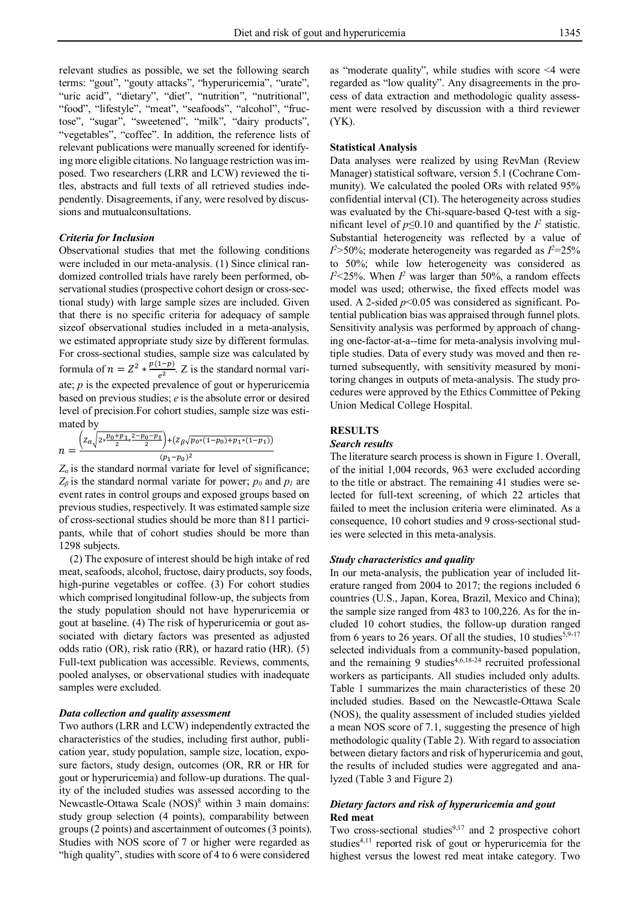relevant studies as possible, we set the following search terms: "gout", "gouty attacks", "hyperuricemia", "urate", "uric acid", "dietary", "diet", "nutrition", "nutritional", "food", "lifestyle", "meat", "seafoods", "alcohol", "fructose", "sugar", "sweetened", "milk", "dairy products", "vegetables", "coffee". In addition, the reference lists of relevant publications were manually screened for identifying more eligible citations. No language restriction was imposed. Two researchers (LRR and LCW) reviewed the titles, abstracts and full texts of all retrieved studies independently. Disagreements, if any, were resolved by discussions and mutualconsultations.

#### *Criteria for Inclusion*

Observational studies that met the following conditions were included in our meta-analysis. (1) Since clinical randomized controlled trials have rarely been performed, observational studies (prospective cohort design or cross-sectional study) with large sample sizes are included. Given that there is no specific criteria for adequacy of sample sizeof observational studies included in a meta-analysis, we estimated appropriate study size by different formulas. For cross-sectional studies, sample size was calculated by formula of  $n = Z^2 * \frac{p(1-p)}{q^2}$  $\frac{1-p}{e^2}$ . Z is the standard normal variate; *p* is the expected prevalence of gout or hyperuricemia based on previous studies; *e* is the absolute error or desired level of precision.For cohort studies, sample size was estimated by

$$
n = \frac{\left(z_{\alpha}\sqrt{z_{\alpha}\frac{p_0+p_1}{2}z_{\alpha}\frac{p_0-p_1}{2}}\right) + \left(z_{\beta}\sqrt{p_0*(1-p_0)+p_1*(1-p_1)}\right)}{(p_1-p_0)^2}
$$

 $Z_{\alpha}$  is the standard normal variate for level of significance;  $Z_{\beta}$  is the standard normal variate for power;  $p_{\theta}$  and  $p_{\theta}$  are event rates in control groups and exposed groups based on previous studies, respectively. It was estimated sample size of cross-sectional studies should be more than 811 participants, while that of cohort studies should be more than 1298 subjects.

(2) The exposure of interest should be high intake of red meat, seafoods, alcohol, fructose, dairy products, soy foods, high-purine vegetables or coffee. (3) For cohort studies which comprised longitudinal follow-up, the subjects from the study population should not have hyperuricemia or gout at baseline. (4) The risk of hyperuricemia or gout associated with dietary factors was presented as adjusted odds ratio (OR), risk ratio (RR), or hazard ratio (HR). (5) Full-text publication was accessible. Reviews, comments, pooled analyses, or observational studies with inadequate samples were excluded.

#### *Data collection and quality assessment*

Two authors (LRR and LCW) independently extracted the characteristics of the studies, including first author, publication year, study population, sample size, location, exposure factors, study design, outcomes (OR, RR or HR for gout or hyperuricemia) and follow-up durations. The quality of the included studies was assessed according to the Newcastle-Ottawa Scale  $(NOS)^8$  within 3 main domains: study group selection (4 points), comparability between groups (2 points) and ascertainment of outcomes (3 points). Studies with NOS score of 7 or higher were regarded as "high quality", studies with score of 4 to 6 were considered

as "moderate quality", while studies with score <4 were regarded as "low quality". Any disagreements in the process of data extraction and methodologic quality assessment were resolved by discussion with a third reviewer (YK).

### **Statistical Analysis**

Data analyses were realized by using RevMan (Review Manager) statistical software, version 5.1 (Cochrane Community). We calculated the pooled ORs with related 95% confidential interval (CI). The heterogeneity across studies was evaluated by the Chi-square-based Q-test with a significant level of  $p \le 0.10$  and quantified by the  $I^2$  statistic. Substantial heterogeneity was reflected by a value of *I <sup>2</sup>*>50%; moderate heterogeneity was regarded as *I <sup>2</sup>*=25% to 50%; while low heterogeneity was considered as  $I^2$  <25%. When  $I^2$  was larger than 50%, a random effects model was used; otherwise, the fixed effects model was used. A 2-sided  $p<0.05$  was considered as significant. Potential publication bias was appraised through funnel plots. Sensitivity analysis was performed by approach of changing one-factor-at-a--time for meta-analysis involving multiple studies. Data of every study was moved and then returned subsequently, with sensitivity measured by monitoring changes in outputs of meta-analysis. The study procedures were approved by the Ethics Committee of Peking Union Medical College Hospital.

### **RESULTS**

### *Search results*

The literature search process is shown in Figure 1. Overall, of the initial 1,004 records, 963 were excluded according to the title or abstract. The remaining 41 studies were selected for full-text screening, of which 22 articles that failed to meet the inclusion criteria were eliminated. As a consequence, 10 cohort studies and 9 cross-sectional studies were selected in this meta-analysis.

### *Study characteristics and quality*

In our meta-analysis, the publication year of included literature ranged from 2004 to 2017; the regions included 6 countries (U.S., Japan, Korea, Brazil, Mexico and China); the sample size ranged from 483 to 100,226. As for the included 10 cohort studies, the follow-up duration ranged from 6 years to 26 years. Of all the studies, 10 studies<sup>5,9-17</sup> selected individuals from a community-based population, and the remaining 9 studies $4,6,18-24$  recruited professional workers as participants. All studies included only adults. Table 1 summarizes the main characteristics of these 20 included studies. Based on the Newcastle-Ottawa Scale (NOS), the quality assessment of included studies yielded a mean NOS score of 7.1, suggesting the presence of high methodologic quality (Table 2). With regard to association between dietary factors and risk of hyperuricemia and gout, the results of included studies were aggregated and analyzed (Table 3 and Figure 2)

### *Dietary factors and risk of hyperuricemia and gout* **Red meat**

Two cross-sectional studies $9,17$  and 2 prospective cohort studies<sup>4,11</sup> reported risk of gout or hyperuricemia for the highest versus the lowest red meat intake category. Two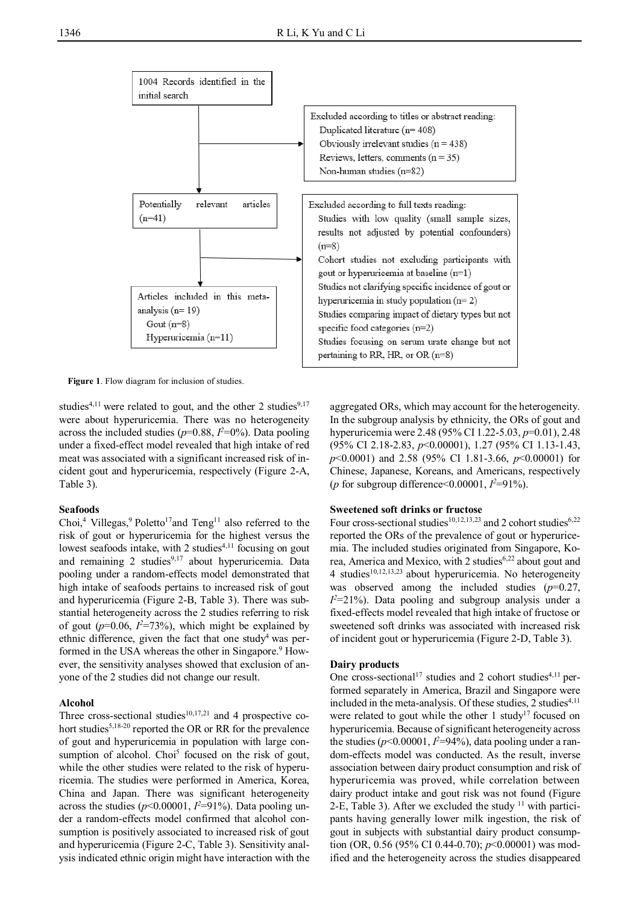

**Figure 1**. Flow diagram for inclusion of studies.

studies<sup>4,11</sup> were related to gout, and the other 2 studies<sup>9,17</sup> were about hyperuricemia. There was no heterogeneity across the included studies ( $p=0.88$ ,  $l^2=0$ %). Data pooling under a fixed-effect model revealed that high intake of red meat was associated with a significant increased risk of incident gout and hyperuricemia, respectively (Figure 2-A, Table 3).

### **Seafoods**

Choi,<sup>4</sup> Villegas,<sup>9</sup> Poletto<sup>17</sup>and Teng<sup>11</sup> also referred to the risk of gout or hyperuricemia for the highest versus the lowest seafoods intake, with 2 studies $4,11$  focusing on gout and remaining 2 studies<sup>9,17</sup> about hyperuricemia. Data pooling under a random-effects model demonstrated that high intake of seafoods pertains to increased risk of gout and hyperuricemia (Figure 2-B, Table 3). There was substantial heterogeneity across the 2 studies referring to risk of gout  $(p=0.06, I^2=73\%)$ , which might be explained by ethnic difference, given the fact that one study<sup>4</sup> was performed in the USA whereas the other in Singapore.<sup>9</sup> However, the sensitivity analyses showed that exclusion of anyone of the 2 studies did not change our result.

### **Alcohol**

Three cross-sectional studies $10,17,21$  and 4 prospective cohort studies<sup>5,18-20</sup> reported the OR or RR for the prevalence of gout and hyperuricemia in population with large consumption of alcohol. Choi<sup>5</sup> focused on the risk of gout, while the other studies were related to the risk of hyperuricemia. The studies were performed in America, Korea, China and Japan. There was significant heterogeneity across the studies  $(p<0.00001, I<sup>2</sup>=91%)$ . Data pooling under a random-effects model confirmed that alcohol consumption is positively associated to increased risk of gout and hyperuricemia (Figure 2-C, Table 3). Sensitivity analysis indicated ethnic origin might have interaction with the

aggregated ORs, which may account for the heterogeneity. In the subgroup analysis by ethnicity, the ORs of gout and hyperuricemia were 2.48 (95% CI 1.22-5.03, *p*=0.01), 2.48 (95% CI 2.18-2.83, *p*<0.00001), 1.27 (95% CI 1.13-1.43, *p*<0.0001) and 2.58 (95% CI 1.81-3.66, *p*<0.00001) for Chinese, Japanese, Koreans, and Americans, respectively (*p* for subgroup difference<0.00001, *I <sup>2</sup>*=91%).

### **Sweetened soft drinks or fructose**

Four cross-sectional studies<sup>10,12,13,23</sup> and 2 cohort studies<sup>6,22</sup> reported the ORs of the prevalence of gout or hyperuricemia. The included studies originated from Singapore, Korea, America and Mexico, with 2 studies<sup>6,22</sup> about gout and 4 studies<sup>10,12,13,23</sup> about hyperuricemia. No heterogeneity was observed among the included studies (*p*=0.27,  $I^2$ =21%). Data pooling and subgroup analysis under a fixed-effects model revealed that high intake of fructose or sweetened soft drinks was associated with increased risk of incident gout or hyperuricemia (Figure 2-D, Table 3).

### **Dairy products**

One cross-sectional<sup>17</sup> studies and 2 cohort studies<sup>4,11</sup> performed separately in America, Brazil and Singapore were included in the meta-analysis. Of these studies,  $2$  studies<sup>4,11</sup> were related to gout while the other  $1$  study<sup>17</sup> focused on hyperuricemia. Because of significant heterogeneity across the studies (*p*<0.00001, *I 2*=94%), data pooling under a random-effects model was conducted. As the result, inverse association between dairy product consumption and risk of hyperuricemia was proved, while correlation between dairy product intake and gout risk was not found (Figure 2-E, Table 3). After we excluded the study  $11$  with participants having generally lower milk ingestion, the risk of gout in subjects with substantial dairy product consumption (OR, 0.56 (95% CI 0.44-0.70); *p*<0.00001) was modified and the heterogeneity across the studies disappeared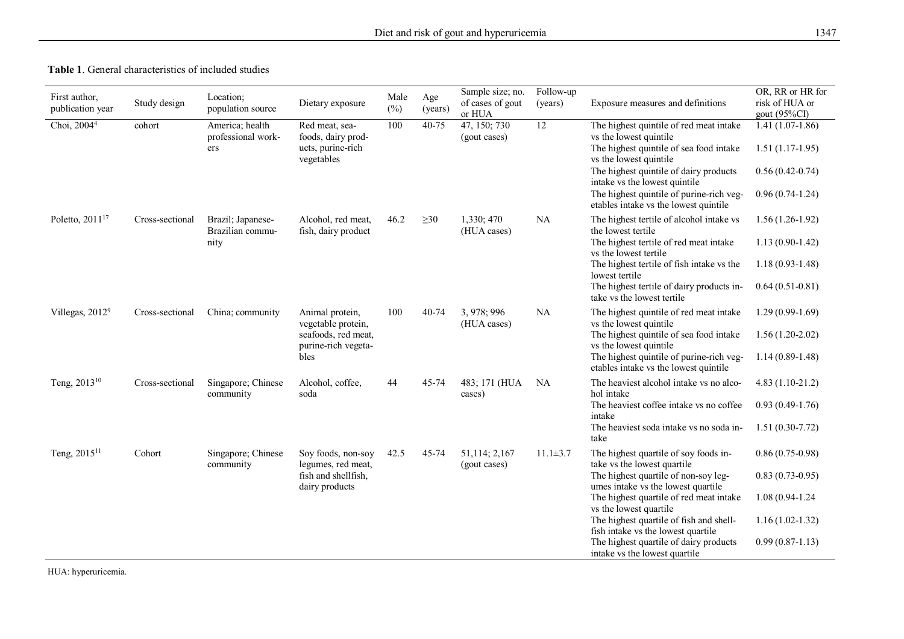| <b>Table 1.</b> General characteristics of included studies |  |
|-------------------------------------------------------------|--|
|-------------------------------------------------------------|--|

| First author,<br>publication year | Study design    | Location;<br>population source        | Dietary exposure                                   | Male<br>(%) | Age<br>(years) | Sample size; no.<br>of cases of gout<br>or HUA | Follow-up<br>(years) | Exposure measures and definitions                                                 | OR, RR or HR for<br>risk of HUA or<br>gout (95%CI) |
|-----------------------------------|-----------------|---------------------------------------|----------------------------------------------------|-------------|----------------|------------------------------------------------|----------------------|-----------------------------------------------------------------------------------|----------------------------------------------------|
| Choi, $20044$                     | cohort          | America; health<br>professional work- | Red meat, sea-<br>foods, dairy prod-               | 100         | 40-75          | 47, 150; 730<br>(gout cases)                   | $\overline{12}$      | The highest quintile of red meat intake<br>vs the lowest quintile                 | $1.41(1.07-1.86)$                                  |
|                                   |                 | ers                                   | ucts, purine-rich<br>vegetables                    |             |                |                                                |                      | The highest quintile of sea food intake<br>vs the lowest quintile                 | $1.51(1.17-1.95)$                                  |
|                                   |                 |                                       |                                                    |             |                |                                                |                      | The highest quintile of dairy products<br>intake vs the lowest quintile           | $0.56(0.42-0.74)$                                  |
|                                   |                 |                                       |                                                    |             |                |                                                |                      | The highest quintile of purine-rich veg-<br>etables intake vs the lowest quintile | $0.96(0.74-1.24)$                                  |
| Poletto, 2011 <sup>17</sup>       | Cross-sectional | Brazil; Japanese-<br>Brazilian commu- | Alcohol, red meat,<br>fish, dairy product          | 46.2        | $\geq 30$      | 1,330; 470<br>(HUA cases)                      | <b>NA</b>            | The highest tertile of alcohol intake vs<br>the lowest tertile                    | $1.56(1.26-1.92)$                                  |
|                                   |                 | nity                                  |                                                    |             |                |                                                |                      | The highest tertile of red meat intake<br>vs the lowest tertile                   | $1.13(0.90-1.42)$                                  |
|                                   |                 |                                       |                                                    |             |                |                                                |                      | The highest tertile of fish intake vs the<br>lowest tertile                       | $1.18(0.93-1.48)$                                  |
|                                   |                 |                                       |                                                    |             |                |                                                |                      | The highest tertile of dairy products in-<br>take vs the lowest tertile           | $0.64(0.51-0.81)$                                  |
| Villegas, 2012 <sup>9</sup>       | Cross-sectional | China; community                      | Animal protein,<br>vegetable protein,              | 100         | 40-74          | 3, 978; 996<br>(HUA cases)                     | <b>NA</b>            | The highest quintile of red meat intake<br>vs the lowest quintile                 | $1.29(0.99-1.69)$                                  |
|                                   |                 |                                       | seafoods, red meat,<br>purine-rich vegeta-<br>bles |             |                |                                                |                      | The highest quintile of sea food intake<br>vs the lowest quintile                 | $1.56(1.20-2.02)$                                  |
|                                   |                 |                                       |                                                    |             |                |                                                |                      | The highest quintile of purine-rich veg-<br>etables intake vs the lowest quintile | $1.14(0.89-1.48)$                                  |
| Teng, 2013 <sup>10</sup>          | Cross-sectional | Singapore; Chinese<br>community       | Alcohol, coffee,<br>soda                           | 44          | 45-74          | 483; 171 (HUA<br>cases)                        | NA                   | The heaviest alcohol intake vs no alco-<br>hol intake                             | $4.83(1.10-21.2)$                                  |
|                                   |                 |                                       |                                                    |             |                |                                                |                      | The heaviest coffee intake vs no coffee<br>intake                                 | $0.93(0.49-1.76)$                                  |
|                                   |                 |                                       |                                                    |             |                |                                                |                      | The heaviest soda intake vs no soda in-<br>take                                   | $1.51(0.30-7.72)$                                  |
| Teng, 2015 <sup>11</sup>          | Cohort          | Singapore; Chinese<br>community       | Soy foods, non-soy<br>legumes, red meat,           | 42.5        | 45-74          | 51,114; 2,167<br>(gout cases)                  | $11.1 \pm 3.7$       | The highest quartile of soy foods in-<br>take vs the lowest quartile              | $0.86(0.75-0.98)$                                  |
|                                   |                 |                                       | fish and shellfish,<br>dairy products              |             |                |                                                |                      | The highest quartile of non-soy leg-<br>umes intake vs the lowest quartile        | $0.83(0.73-0.95)$                                  |
|                                   |                 |                                       |                                                    |             |                |                                                |                      | The highest quartile of red meat intake<br>vs the lowest quartile                 | 1.08 (0.94-1.24)                                   |
|                                   |                 |                                       |                                                    |             |                |                                                |                      | The highest quartile of fish and shell-<br>fish intake vs the lowest quartile     | $1.16(1.02-1.32)$                                  |
|                                   |                 |                                       |                                                    |             |                |                                                |                      | The highest quartile of dairy products<br>intake vs the lowest quartile           | $0.99(0.87-1.13)$                                  |

HUA: hyperuricemia.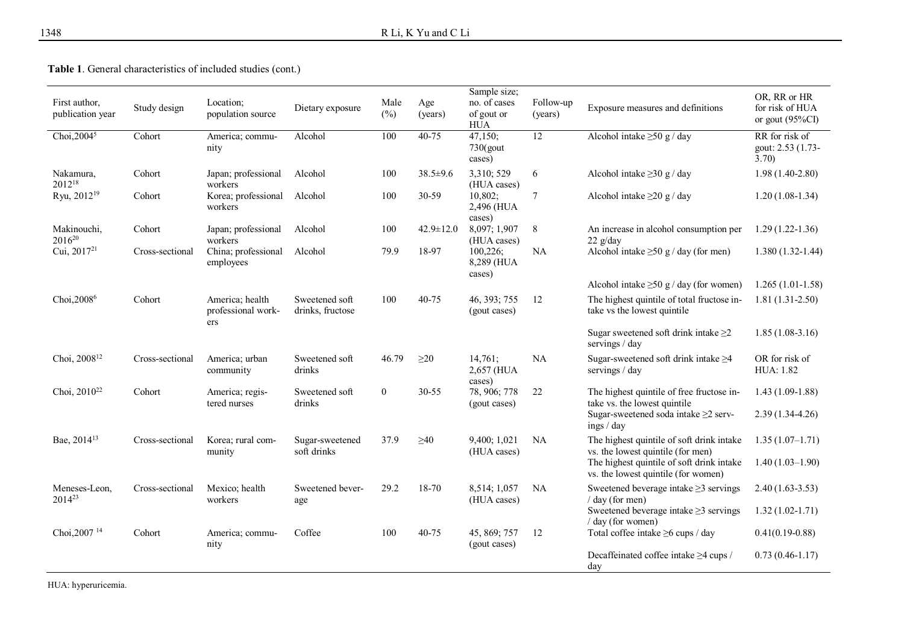**Table 1**. General characteristics of included studies (cont.)

| First author,<br>publication year | Study design    | Location;<br>population source               | Dietary exposure                   | Male<br>$(\%)$ | Age<br>(years)  | Sample size;<br>no. of cases<br>of gout or<br><b>HUA</b> | Follow-up<br>(years) | Exposure measures and definitions                                                                                               | OR, RR or HR<br>for risk of HUA<br>or gout $(95\%CI)$ |
|-----------------------------------|-----------------|----------------------------------------------|------------------------------------|----------------|-----------------|----------------------------------------------------------|----------------------|---------------------------------------------------------------------------------------------------------------------------------|-------------------------------------------------------|
| Choi, $20045$                     | Cohort          | America; commu-<br>nity                      | Alcohol                            | 100            | $40 - 75$       | 47,150;<br>$730$ (gout<br>cases)                         | 12                   | Alcohol intake $\geq 50$ g / day                                                                                                | RR for risk of<br>gout: 2.53 (1.73-<br>3.70           |
| Nakamura,<br>2012 <sup>18</sup>   | Cohort          | Japan; professional<br>workers               | Alcohol                            | 100            | $38.5 \pm 9.6$  | 3,310; 529<br>(HUA cases)                                | 6                    | Alcohol intake $\geq$ 30 g / day                                                                                                | $1.98(1.40-2.80)$                                     |
| Ryu, 2012 <sup>19</sup>           | Cohort          | Korea; professional<br>workers               | Alcohol                            | 100            | 30-59           | 10,802;<br>2,496 (HUA<br>cases)                          | 7                    | Alcohol intake $\geq$ 20 g / day                                                                                                | $1.20(1.08-1.34)$                                     |
| Makinouchi,<br>2016 <sup>20</sup> | Cohort          | Japan; professional<br>workers               | Alcohol                            | 100            | $42.9 \pm 12.0$ | 8,097; 1,907<br>(HUA cases)                              | 8                    | An increase in alcohol consumption per<br>$22 \frac{g}{day}$                                                                    | $1.29(1.22 - 1.36)$                                   |
| Cui, $2017^{21}$                  | Cross-sectional | China; professional<br>employees             | Alcohol                            | 79.9           | 18-97           | 100,226;<br>8,289 (HUA<br>cases)                         | NA                   | Alcohol intake $\geq 50$ g / day (for men)                                                                                      | $1.380(1.32-1.44)$                                    |
|                                   |                 |                                              |                                    |                |                 |                                                          |                      | Alcohol intake $\geq 50$ g / day (for women)                                                                                    | $1.265(1.01-1.58)$                                    |
| Choi, 2008 <sup>6</sup>           | Cohort          | America; health<br>professional work-<br>ers | Sweetened soft<br>drinks, fructose | 100            | $40 - 75$       | 46, 393; 755<br>(gout cases)                             | 12                   | The highest quintile of total fructose in-<br>take vs the lowest quintile                                                       | $1.81(1.31-2.50)$                                     |
|                                   |                 |                                              |                                    |                |                 |                                                          |                      | Sugar sweetened soft drink intake $\geq$ 2<br>servings / day                                                                    | $1.85(1.08-3.16)$                                     |
| Choi, 2008 <sup>12</sup>          | Cross-sectional | America: urban<br>community                  | Sweetened soft<br>drinks           | 46.79          | $\geq$ 20       | 14,761;<br>2,657 (HUA<br>cases)                          | NA                   | Sugar-sweetened soft drink intake $\geq 4$<br>servings / day                                                                    | OR for risk of<br><b>HUA</b> : 1.82                   |
| Choi, $2010^{22}$                 | Cohort          | America; regis-<br>tered nurses              | Sweetened soft<br>drinks           | $\overline{0}$ | $30 - 55$       | 78, 906; 778<br>(gout cases)                             | 22                   | The highest quintile of free fructose in-<br>take vs. the lowest quintile<br>Sugar-sweetened soda intake ≥2 serv-<br>ings / day | $1.43(1.09-1.88)$<br>$2.39(1.34-4.26)$                |
| Bae, 2014 <sup>13</sup>           | Cross-sectional | Korea; rural com-<br>munity                  | Sugar-sweetened<br>soft drinks     | 37.9           | $\geq 40$       | 9,400; 1,021<br>(HUA cases)                              | <b>NA</b>            | The highest quintile of soft drink intake<br>vs. the lowest quintile (for men)                                                  | $1.35(1.07-1.71)$                                     |
|                                   |                 |                                              |                                    |                |                 |                                                          |                      | The highest quintile of soft drink intake<br>vs. the lowest quintile (for women)                                                | $1.40(1.03-1.90)$                                     |
| Meneses-Leon,<br>$2014^{23}$      | Cross-sectional | Mexico; health<br>workers                    | Sweetened bever-<br>age            | 29.2           | 18-70           | 8,514; 1,057<br>(HUA cases)                              | <b>NA</b>            | Sweetened beverage intake $\geq$ 3 servings<br>$/$ day (for men)                                                                | $2.40(1.63-3.53)$                                     |
|                                   |                 |                                              |                                    |                |                 |                                                          |                      | Sweetened beverage intake $\geq$ 3 servings<br>$/$ day (for women)                                                              | $1.32(1.02 - 1.71)$                                   |
| Choi, 2007 <sup>14</sup>          | Cohort          | America; commu-<br>nity                      | Coffee                             | 100            | 40-75           | 45, 869; 757<br>(gout cases)                             | 12                   | Total coffee intake ≥6 cups / day                                                                                               | $0.41(0.19-0.88)$                                     |
|                                   |                 |                                              |                                    |                |                 |                                                          |                      | Decaffeinated coffee intake ≥4 cups /<br>dav                                                                                    | $0.73(0.46 - 1.17)$                                   |

HUA: hyperuricemia.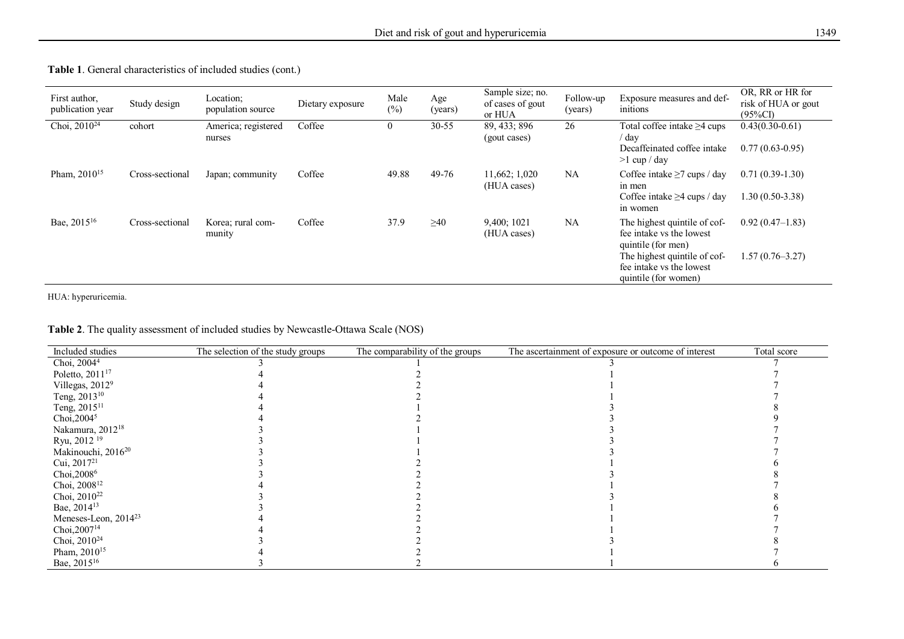| First author,<br>publication year | Study design    | Location;<br>population source | Dietary exposure | Male<br>$(\%)$ | Age<br>(years) | Sample size; no.<br>of cases of gout<br>or HUA | Follow-up<br>(years) | Exposure measures and def-<br>initions                                                                                                                             | OR, RR or HR for<br>risk of HUA or gout<br>$(95\%CI)$ |
|-----------------------------------|-----------------|--------------------------------|------------------|----------------|----------------|------------------------------------------------|----------------------|--------------------------------------------------------------------------------------------------------------------------------------------------------------------|-------------------------------------------------------|
| Choi, $2010^{24}$                 | cohort          | America; registered<br>nurses  | Coffee           | $\overline{0}$ | $30 - 55$      | 89, 433; 896<br>(gout cases)                   | 26                   | Total coffee intake $\geq$ 4 cups<br>day<br>Decaffeinated coffee intake<br>$>1$ cup / day                                                                          | $0.43(0.30-0.61)$<br>$0.77(0.63-0.95)$                |
| Pham, $2010^{15}$                 | Cross-sectional | Japan; community               | Coffee           | 49.88          | 49-76          | 11,662; 1,020<br>(HUA cases)                   | <b>NA</b>            | Coffee intake $\geq$ 7 cups / day<br>in men<br>Coffee intake $\geq$ 4 cups / day<br>in women                                                                       | $0.71(0.39-1.30)$<br>$1.30(0.50-3.38)$                |
| Bae, 2015 <sup>16</sup>           | Cross-sectional | Korea: rural com-<br>munity    | Coffee           | 37.9           | $\geq 40$      | 9,400; 1021<br>(HUA cases)                     | <b>NA</b>            | The highest quintile of cof-<br>fee intake vs the lowest<br>quintile (for men)<br>The highest quintile of cof-<br>fee intake vs the lowest<br>quintile (for women) | $0.92(0.47-1.83)$<br>$1.57(0.76 - 3.27)$              |

### **Table 1**. General characteristics of included studies (cont.)

HUA: hyperuricemia.

| Included studies                 | The selection of the study groups | The comparability of the groups | The ascertainment of exposure or outcome of interest | Total score |
|----------------------------------|-----------------------------------|---------------------------------|------------------------------------------------------|-------------|
| Choi, $20044$                    |                                   |                                 |                                                      |             |
| Poletto, 2011 <sup>17</sup>      |                                   |                                 |                                                      |             |
| Villegas, 2012 <sup>9</sup>      |                                   |                                 |                                                      |             |
| Teng, 2013 <sup>10</sup>         |                                   |                                 |                                                      |             |
| Teng, 2015 <sup>11</sup>         |                                   |                                 |                                                      |             |
| Choi, $20045$                    |                                   |                                 |                                                      |             |
| Nakamura, 2012 <sup>18</sup>     |                                   |                                 |                                                      |             |
| Ryu, 2012 <sup>19</sup>          |                                   |                                 |                                                      |             |
| Makinouchi, 2016 <sup>20</sup>   |                                   |                                 |                                                      |             |
| Cui, $2017^{21}$                 |                                   |                                 |                                                      |             |
| Choi, 2008 <sup>6</sup>          |                                   |                                 |                                                      |             |
| Choi, 2008 <sup>12</sup>         |                                   |                                 |                                                      |             |
| Choi, 2010 <sup>22</sup>         |                                   |                                 |                                                      |             |
| Bae, 2014 <sup>13</sup>          |                                   |                                 |                                                      |             |
| Meneses-Leon, 2014 <sup>23</sup> |                                   |                                 |                                                      |             |
| Choi, 2007 <sup>14</sup>         |                                   |                                 |                                                      |             |
| Choi, 2010 <sup>24</sup>         |                                   |                                 |                                                      |             |
| Pham, 2010 <sup>15</sup>         |                                   |                                 |                                                      |             |
| Bae, 2015 <sup>16</sup>          |                                   |                                 |                                                      |             |

### **Table 2**. The quality assessment of included studies by Newcastle-Ottawa Scale (NOS)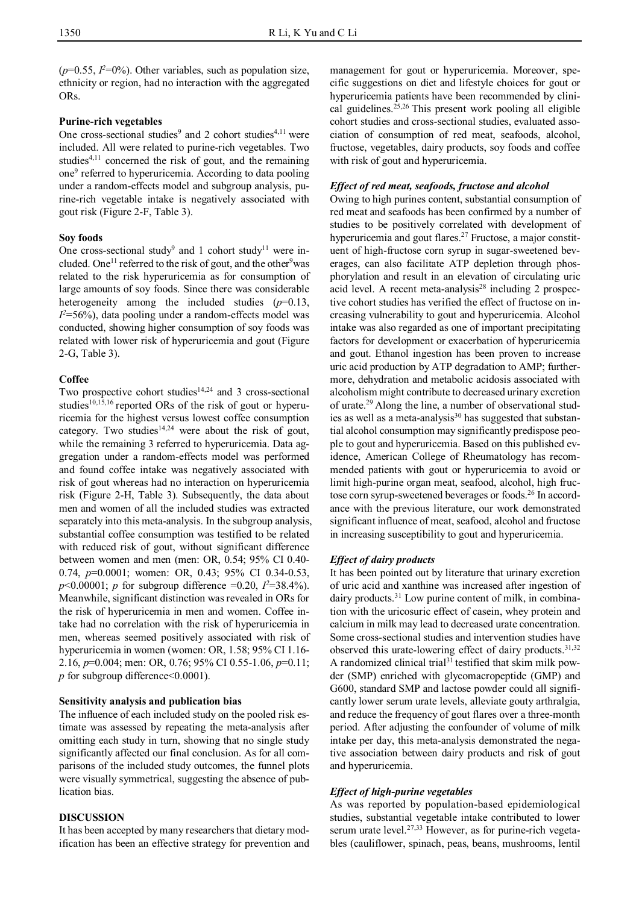$(p=0.55, I<sup>2</sup>=0%)$ . Other variables, such as population size, ethnicity or region, had no interaction with the aggregated ORs.

### **Purine-rich vegetables**

One cross-sectional studies<sup>9</sup> and 2 cohort studies<sup>4,11</sup> were included. All were related to purine-rich vegetables. Two studies<sup>4,11</sup> concerned the risk of gout, and the remaining one<sup>9</sup> referred to hyperuricemia. According to data pooling under a random-effects model and subgroup analysis, purine-rich vegetable intake is negatively associated with gout risk (Figure 2-F, Table 3).

### **Soy foods**

One cross-sectional study<sup>9</sup> and 1 cohort study<sup>11</sup> were included. One<sup>11</sup> referred to the risk of gout, and the other<sup>9</sup>was related to the risk hyperuricemia as for consumption of large amounts of soy foods. Since there was considerable heterogeneity among the included studies (*p*=0.13,  $I<sup>2</sup>=56%$ ), data pooling under a random-effects model was conducted, showing higher consumption of soy foods was related with lower risk of hyperuricemia and gout (Figure 2-G, Table 3).

### **Coffee**

Two prospective cohort studies $14,24$  and 3 cross-sectional studies<sup>10,15,16</sup> reported ORs of the risk of gout or hyperuricemia for the highest versus lowest coffee consumption category. Two studies<sup>14,24</sup> were about the risk of gout, while the remaining 3 referred to hyperuricemia. Data aggregation under a random-effects model was performed and found coffee intake was negatively associated with risk of gout whereas had no interaction on hyperuricemia risk (Figure 2-H, Table 3). Subsequently, the data about men and women of all the included studies was extracted separately into this meta-analysis. In the subgroup analysis, substantial coffee consumption was testified to be related with reduced risk of gout, without significant difference between women and men (men: OR, 0.54; 95% CI 0.40- 0.74, *p*=0.0001; women: OR, 0.43; 95% CI 0.34-0.53,  $p$ <0.00001; *p* for subgroup difference =0.20,  $I^2$ =38.4%). Meanwhile, significant distinction was revealed in ORs for the risk of hyperuricemia in men and women. Coffee intake had no correlation with the risk of hyperuricemia in men, whereas seemed positively associated with risk of hyperuricemia in women (women: OR, 1.58; 95% CI 1.16- 2.16, *p*=0.004; men: OR, 0.76; 95% CI 0.55-1.06, *p*=0.11; *p* for subgroup difference < 0.0001).

### **Sensitivity analysis and publication bias**

The influence of each included study on the pooled risk estimate was assessed by repeating the meta-analysis after omitting each study in turn, showing that no single study significantly affected our final conclusion. As for all comparisons of the included study outcomes, the funnel plots were visually symmetrical, suggesting the absence of publication bias.

### **DISCUSSION**

It has been accepted by many researchers that dietary modification has been an effective strategy for prevention and management for gout or hyperuricemia. Moreover, specific suggestions on diet and lifestyle choices for gout or hyperuricemia patients have been recommended by clinical guidelines.25,26 This present work pooling all eligible cohort studies and cross-sectional studies, evaluated association of consumption of red meat, seafoods, alcohol, fructose, vegetables, dairy products, soy foods and coffee with risk of gout and hyperuricemia.

### *Effect of red meat, seafoods, fructose and alcohol*

Owing to high purines content, substantial consumption of red meat and seafoods has been confirmed by a number of studies to be positively correlated with development of hyperuricemia and gout flares.<sup>27</sup> Fructose, a major constituent of high-fructose corn syrup in sugar-sweetened beverages, can also facilitate ATP depletion through phosphorylation and result in an elevation of circulating uric acid level. A recent meta-analysis<sup>28</sup> including 2 prospective cohort studies has verified the effect of fructose on increasing vulnerability to gout and hyperuricemia. Alcohol intake was also regarded as one of important precipitating factors for development or exacerbation of hyperuricemia and gout. Ethanol ingestion has been proven to increase uric acid production by ATP degradation to AMP; furthermore, dehydration and metabolic acidosis associated with alcoholism might contribute to decreased urinary excretion of urate.<sup>29</sup> Along the line, a number of observational studies as well as a meta-analysis<sup>30</sup> has suggested that substantial alcohol consumption may significantly predispose people to gout and hyperuricemia. Based on this published evidence, American College of Rheumatology has recommended patients with gout or hyperuricemia to avoid or limit high-purine organ meat, seafood, alcohol, high fructose corn syrup-sweetened beverages or foods.<sup>26</sup> In accordance with the previous literature, our work demonstrated significant influence of meat, seafood, alcohol and fructose in increasing susceptibility to gout and hyperuricemia.

### *Effect of dairy products*

It has been pointed out by literature that urinary excretion of uric acid and xanthine was increased after ingestion of dairy products.<sup>31</sup> Low purine content of milk, in combination with the uricosuric effect of casein, whey protein and calcium in milk may lead to decreased urate concentration. Some cross-sectional studies and intervention studies have observed this urate-lowering effect of dairy products.<sup>31,32</sup> A randomized clinical trial $31$  testified that skim milk powder (SMP) enriched with glycomacropeptide (GMP) and G600, standard SMP and lactose powder could all significantly lower serum urate levels, alleviate gouty arthralgia, and reduce the frequency of gout flares over a three-month period. After adjusting the confounder of volume of milk intake per day, this meta-analysis demonstrated the negative association between dairy products and risk of gout and hyperuricemia.

### *Effect of high-purine vegetables*

As was reported by population-based epidemiological studies, substantial vegetable intake contributed to lower serum urate level.<sup>27,33</sup> However, as for purine-rich vegetables (cauliflower, spinach, peas, beans, mushrooms, lentil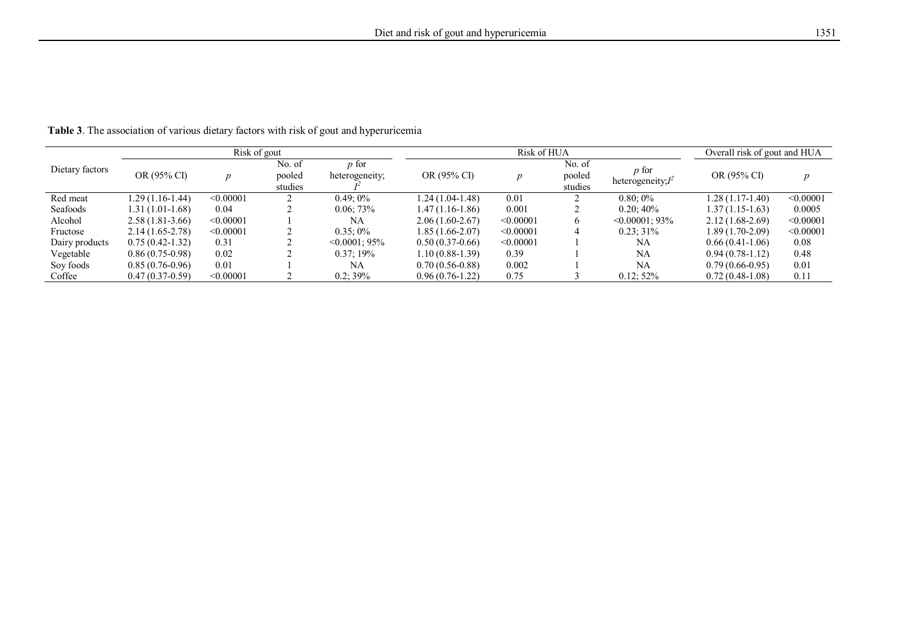|                 |                     | Risk of gout |                             |                                |                   | Risk of HUA | Overall risk of gout and HUA |                                      |                   |           |
|-----------------|---------------------|--------------|-----------------------------|--------------------------------|-------------------|-------------|------------------------------|--------------------------------------|-------------------|-----------|
| Dietary factors | OR (95% CI)         |              | No. of<br>pooled<br>studies | <i>p</i> for<br>heterogeneity; | OR (95% CI)       |             | No. of<br>pooled<br>studies  | <i>p</i> for<br>heterogeneity; $I^2$ | OR (95% CI)       |           |
| Red meat        | 1.29 (1.16-1.44)    | < 0.00001    |                             | $0.49:0\%$                     | $1.24(1.04-1.48)$ | 0.01        |                              | $0.80:0\%$                           | $1.28(1.17-1.40)$ | < 0.00001 |
| Seafoods        | 1.31 (1.01-1.68)    | 0.04         |                             | 0.06;73%                       | 1.47 (1.16-1.86)  | 0.001       |                              | $0.20:40\%$                          | $1.37(1.15-1.63)$ | 0.0005    |
| Alcohol         | $2.58(1.81-3.66)$   | < 0.00001    |                             | NA                             | $2.06(1.60-2.67)$ | < 0.00001   | $\sigma$                     | $\leq 0.00001$ : 93%                 | $2.12(1.68-2.69)$ | < 0.00001 |
| Fructose        | $2.14(1.65 - 2.78)$ | < 0.00001    |                             | $0.35:0\%$                     | 1.85 (1.66-2.07)  | < 0.00001   | 4                            | $0.23:31\%$                          | $1.89(1.70-2.09)$ | < 0.00001 |
| Dairy products  | $0.75(0.42-1.32)$   | 0.31         |                             | $\leq 0.0001$ : 95%            | $0.50(0.37-0.66)$ | < 0.00001   |                              | <b>NA</b>                            | $0.66(0.41-1.06)$ | 0.08      |
| Vegetable       | $0.86(0.75-0.98)$   | 0.02         |                             | $0.37:19\%$                    | $1.10(0.88-1.39)$ | 0.39        |                              | NA                                   | $0.94(0.78-1.12)$ | 0.48      |
| Soy foods       | $0.85(0.76-0.96)$   | 0.01         |                             | NA                             | $0.70(0.56-0.88)$ | 0.002       |                              | NA                                   | $0.79(0.66-0.95)$ | 0.01      |
| Coffee          | $0.47(0.37-0.59)$   | < 0.00001    |                             | 0.2; 39%                       | $0.96(0.76-1.22)$ | 0.75        |                              | $0.12:52\%$                          | $0.72(0.48-1.08)$ | 0.11      |

**Table 3**. The association of various dietary factors with risk of gout and hyperuricemia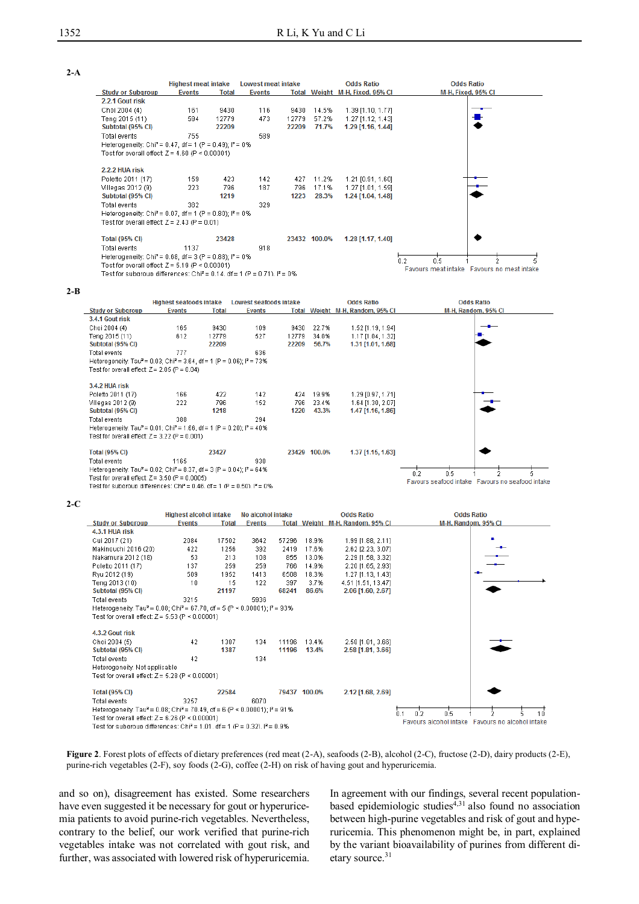|                                                                                      | <b>Highest meat intake</b> |       | Lowest meat intake |       |              | <b>Odds Ratio</b>               | <b>Odds Ratio</b>                          |
|--------------------------------------------------------------------------------------|----------------------------|-------|--------------------|-------|--------------|---------------------------------|--------------------------------------------|
| <b>Study or Subgroup</b>                                                             | <b>Events</b>              | Total | <b>Events</b>      |       |              | Total Weight M-H, Fixed, 95% Cl | M-H, Fixed, 95% CI                         |
| 2.2.1 Gout risk                                                                      |                            |       |                    |       |              |                                 |                                            |
| Choi 2004 (4)                                                                        | 161                        | 9430  | 116                | 9430  | 14.5%        | 1.39 [1.10, 1.77]               |                                            |
| Teng 2015 (11)                                                                       | 594                        | 12779 | 473                | 12779 | 57.2%        | 1.27 [1.12, 1.43]               |                                            |
| Subtotal (95% CI)                                                                    |                            | 22209 |                    | 22209 | 71.7%        | 1.29 [1.16, 1.44]               |                                            |
| Total events                                                                         | 755                        |       | 589                |       |              |                                 |                                            |
| Heterogeneity: Chi <sup>2</sup> = 0.47, df = 1 (P = 0.49); $P = 0\%$                 |                            |       |                    |       |              |                                 |                                            |
| Test for overall effect: $Z = 4.60$ (P < 0.00001)                                    |                            |       |                    |       |              |                                 |                                            |
|                                                                                      |                            |       |                    |       |              |                                 |                                            |
| 2.2.2 HUA risk                                                                       |                            |       |                    |       |              |                                 |                                            |
| Poletto 2011 (17)                                                                    | 159                        | 423   | 142                | 427   | 11.2%        | 1.21 [0.91, 1.60]               |                                            |
| Villegas 2012 (9)                                                                    | 223                        | 796   | 187                | 796   | 17.1%        | 1.27 [1.01, 1.59]               |                                            |
| Subtotal (95% CI)                                                                    |                            | 1219  |                    | 1223  | 28.3%        | 1.24 [1.04, 1.48]               |                                            |
| Total events                                                                         | 382                        |       | 329                |       |              |                                 |                                            |
| Heterogeneity: Chi <sup>2</sup> = 0.07, df = 1 (P = 0.80); $P = 0\%$                 |                            |       |                    |       |              |                                 |                                            |
| Test for overall effect: $Z = 2.43$ (P = 0.01)                                       |                            |       |                    |       |              |                                 |                                            |
|                                                                                      |                            |       |                    |       |              |                                 |                                            |
| <b>Total (95% CI)</b>                                                                |                            | 23428 |                    |       | 23432 100.0% | 1.28 [1.17, 1.40]               |                                            |
| Total events                                                                         | 1137                       |       | 918                |       |              |                                 |                                            |
| Heterogeneity: Chi <sup>2</sup> = 0.68, df = 3 (P = 0.88); $P = 0\%$                 |                            |       |                    |       |              |                                 | 0.5<br>2<br>0.2<br>5.                      |
| Test for overall effect: $Z = 5.19$ (P < 0.00001)                                    |                            |       |                    |       |              |                                 | Favours meat intake Favours no meat intake |
| Test for subgroup differences: Chi <sup>2</sup> = 0.14, df = 1 (P = 0.71), $P = 0\%$ |                            |       |                    |       |              |                                 |                                            |

**2-B**

|                                                                                                                                                                                                                                                                                     | <b>Highest seafoods intake</b> |                    | Lowest seafoods intake |                    |                         | <b>Odds Ratio</b>                                           | <b>Odds Ratio</b>                                              |
|-------------------------------------------------------------------------------------------------------------------------------------------------------------------------------------------------------------------------------------------------------------------------------------|--------------------------------|--------------------|------------------------|--------------------|-------------------------|-------------------------------------------------------------|----------------------------------------------------------------|
| <b>Study or Subgroup</b>                                                                                                                                                                                                                                                            | Events                         | <b>Total</b>       | <b>Events</b>          |                    |                         | Total Weight M-H, Random, 95% CI                            | M-H, Random, 95% CI                                            |
| 3.4.1 Gout risk                                                                                                                                                                                                                                                                     |                                |                    |                        |                    |                         |                                                             |                                                                |
| Choi 2004 (4)                                                                                                                                                                                                                                                                       | 165                            | 9430               | 109                    | 9430               | 22.7%                   | 1.52 [1.19, 1.94]                                           |                                                                |
| Teng 2015 (11)                                                                                                                                                                                                                                                                      | 612                            | 12779              | 527                    | 12779              | 34.0%                   | 1.17 [1.04, 1.32]                                           |                                                                |
| Subtotal (95% CI)                                                                                                                                                                                                                                                                   |                                | 22209              |                        | 22209              | 56.7%                   | 1.31 [1.01, 1.68]                                           |                                                                |
| Total events                                                                                                                                                                                                                                                                        | 777                            |                    | 636                    |                    |                         |                                                             |                                                                |
| Heterogeneity: Tau <sup>2</sup> = 0.03; Chi <sup>2</sup> = 3.64, df = 1 (P = 0.06); P = 73%                                                                                                                                                                                         |                                |                    |                        |                    |                         |                                                             |                                                                |
| Test for overall effect: $Z = 2.05$ (P = 0.04)                                                                                                                                                                                                                                      |                                |                    |                        |                    |                         |                                                             |                                                                |
| 3.4.2 HUA risk<br>Poletto 2011 (17)<br>Villegas 2012 (9)<br>Subtotal (95% CI)<br>Total events<br>Heterogeneity: Tau <sup>2</sup> = 0.01; Chi <sup>2</sup> = 1.66, df = 1 (P = 0.20); l <sup>2</sup> = 40%<br>Test for overall effect: $Z = 3.22$ (P = 0.001)                        | 166<br>222<br>388              | 422<br>796<br>1218 | 142<br>152<br>294      | 424<br>796<br>1220 | 19.9%<br>23.4%<br>43.3% | 1.29 [0.97, 1.71]<br>1.64 [1.30, 2.07]<br>1.47 [1.16, 1.86] |                                                                |
| <b>Total (95% CI)</b><br>Total events<br>Heterogeneity: Tau <sup>2</sup> = 0.02; Chi <sup>2</sup> = 8.37, df = 3 (P = 0.04); $P = 64\%$<br>Test for overall effect: $Z = 3.50$ (P = 0.0005)<br>Test for subgroup differences: Chi <sup>2</sup> = 0.46, df = 1 (P = 0.50), $P = 0\%$ | 1165                           | 23427              | 930                    |                    | 23429 100.0%            | 1.37 [1.15, 1.63]                                           | 0.5<br>0.2<br>Favours seafood intake Favours no seafood intake |

**2-C**

|                                                                                                                               | <b>Highest alcohol intake</b> |              | No alcohol intake |       |              | <b>Odds Ratio</b>                | <b>Odds Ratio</b>                                         |  |  |
|-------------------------------------------------------------------------------------------------------------------------------|-------------------------------|--------------|-------------------|-------|--------------|----------------------------------|-----------------------------------------------------------|--|--|
| <b>Study or Subgroup</b>                                                                                                      | <b>Events</b>                 | <b>Total</b> | <b>Events</b>     |       |              | Total Weight M-H, Random, 95% CI | M-H, Random, 95% CI                                       |  |  |
| 4.3.1 HUA risk                                                                                                                |                               |              |                   |       |              |                                  |                                                           |  |  |
| Cui 2017 (21)                                                                                                                 | 2084                          | 17502        | 3642              | 57296 | 18.9%        | 1.99 [1.88, 2.11]                |                                                           |  |  |
| Makinouchi 2016 (20)                                                                                                          | 422                           | 1256         | 392               | 2419  | 17.6%        | 2.62 [2.23, 3.07]                |                                                           |  |  |
| Nakamura 2012 (18)                                                                                                            | 53                            | 213          | 108               | 855   | 13.0%        | 2.29 [1.58, 3.32]                |                                                           |  |  |
| Poletto 2011 (17)                                                                                                             | 137                           | 259          | 259               | 766   | 14.9%        | 2.20 [1.65, 2.93]                |                                                           |  |  |
| Ryu 2012 (19)                                                                                                                 | 509                           | 1952         | 1413              | 6508  | 18.3%        | 1.27 [1.13, 1.43]                |                                                           |  |  |
| Teng 2013 (10)                                                                                                                | 10                            | 15           | 122               | 397   | 3.7%         | 4.51 [1.51, 13.47]               |                                                           |  |  |
| Subtotal (95% CI)                                                                                                             |                               | 21197        |                   | 68241 | 86.6%        | 2.06 [1.60, 2.67]                |                                                           |  |  |
| Total events                                                                                                                  | 3215                          |              | 5936              |       |              |                                  |                                                           |  |  |
| Heterogeneity: Tau <sup>2</sup> = 0.08; Chi <sup>2</sup> = 67.70, df = 5 (P < 0.00001); $P = 93\%$                            |                               |              |                   |       |              |                                  |                                                           |  |  |
| Test for overall effect: $Z = 5.53$ (P < 0.00001)                                                                             |                               |              |                   |       |              |                                  |                                                           |  |  |
|                                                                                                                               |                               |              |                   |       |              |                                  |                                                           |  |  |
| 4.3.2 Gout risk                                                                                                               |                               |              |                   |       |              |                                  |                                                           |  |  |
| Choi 2004 (5)                                                                                                                 | 42                            | 1387         | 134               | 11196 | 13.4%        | 2.58 [1.81, 3.66]                |                                                           |  |  |
| Subtotal (95% CI)                                                                                                             |                               | 1387         |                   | 11196 | 13.4%        | 2.58 [1.81, 3.66]                |                                                           |  |  |
| Total events                                                                                                                  | 42                            |              | 134               |       |              |                                  |                                                           |  |  |
| Heterogeneity: Not applicable                                                                                                 |                               |              |                   |       |              |                                  |                                                           |  |  |
| Test for overall effect: $Z = 5.28$ (P < 0.00001)                                                                             |                               |              |                   |       |              |                                  |                                                           |  |  |
|                                                                                                                               |                               |              |                   |       |              |                                  |                                                           |  |  |
| <b>Total (95% CI)</b>                                                                                                         |                               | 22584        |                   |       | 79437 100.0% | 2.12 [1.68, 2.69]                |                                                           |  |  |
| <b>Total events</b>                                                                                                           | 3257                          |              | 6070              |       |              |                                  |                                                           |  |  |
| Heterogeneity: Tau <sup>2</sup> = 0.08; Chi <sup>2</sup> = 70.49, df = 6 (P < 0.00001); $P = 91\%$<br>0.5<br>0.2<br>ż.<br>n 1 |                               |              |                   |       |              |                                  |                                                           |  |  |
| Test for overall effect: $Z = 6.26$ (P < 0.00001)                                                                             |                               |              |                   |       |              |                                  | 10<br>Favours alcohol intake<br>Favours no alcohol intake |  |  |
| Test for subgroup differences: Chi <sup>2</sup> = 1.01, df = 1 (P = 0.32), $P = 0.9\%$                                        |                               |              |                   |       |              |                                  |                                                           |  |  |

**Figure 2**. Forest plots of effects of dietary preferences (red meat (2-A), seafoods (2-B), alcohol (2-C), fructose (2-D), dairy products (2-E), purine-rich vegetables (2-F), soy foods (2-G), coffee (2-H) on risk of having gout and hyperuricemia.

and so on), disagreement has existed. Some researchers have even suggested it be necessary for gout or hyperuricemia patients to avoid purine-rich vegetables. Nevertheless, contrary to the belief, our work verified that purine-rich vegetables intake was not correlated with gout risk, and further, was associated with lowered risk of hyperuricemia.

In agreement with our findings, several recent populationbased epidemiologic studies<sup>4,31</sup> also found no association between high-purine vegetables and risk of gout and hyperuricemia. This phenomenon might be, in part, explained by the variant bioavailability of purines from different dietary source.<sup>31</sup>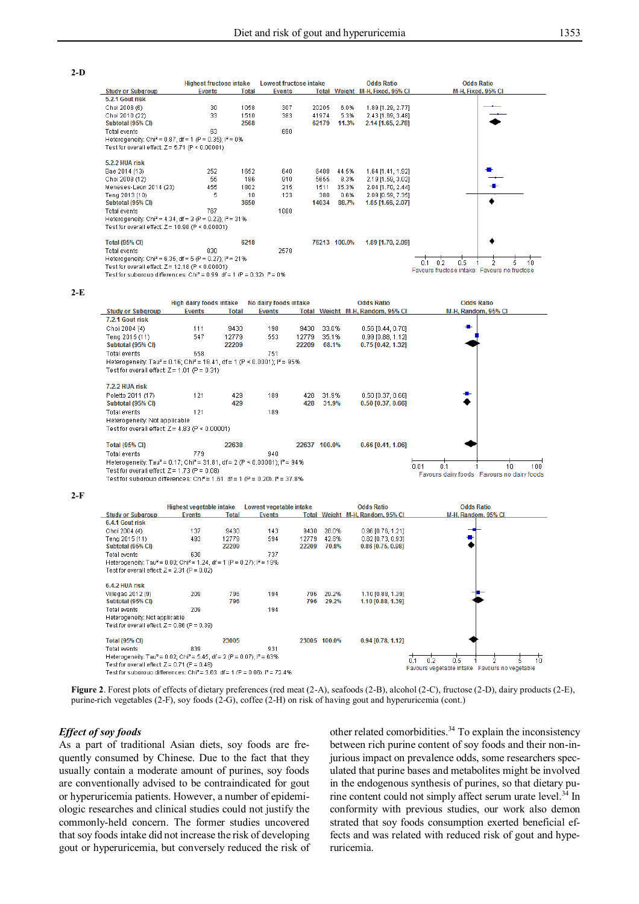



**Figure 2**. Forest plots of effects of dietary preferences (red meat (2-A), seafoods (2-B), alcohol (2-C), fructose (2-D), dairy products (2-E), purine-rich vegetables (2-F), soy foods (2-G), coffee (2-H) on risk of having gout and hyperuricemia (cont.)

### *Effect of soy foods*

**2-F**

As a part of traditional Asian diets, soy foods are frequently consumed by Chinese. Due to the fact that they usually contain a moderate amount of purines, soy foods are conventionally advised to be contraindicated for gout or hyperuricemia patients. However, a number of epidemiologic researches and clinical studies could not justify the commonly-held concern. The former studies uncovered that soy foods intake did not increase the risk of developing gout or hyperuricemia, but conversely reduced the risk of

other related comorbidities.<sup>34</sup> To explain the inconsistency between rich purine content of soy foods and their non-injurious impact on prevalence odds, some researchers speculated that purine bases and metabolites might be involved in the endogenous synthesis of purines, so that dietary purine content could not simply affect serum urate level.<sup>34</sup> In conformity with previous studies, our work also demon strated that soy foods consumption exerted beneficial effects and was related with reduced risk of gout and hyperuricemia.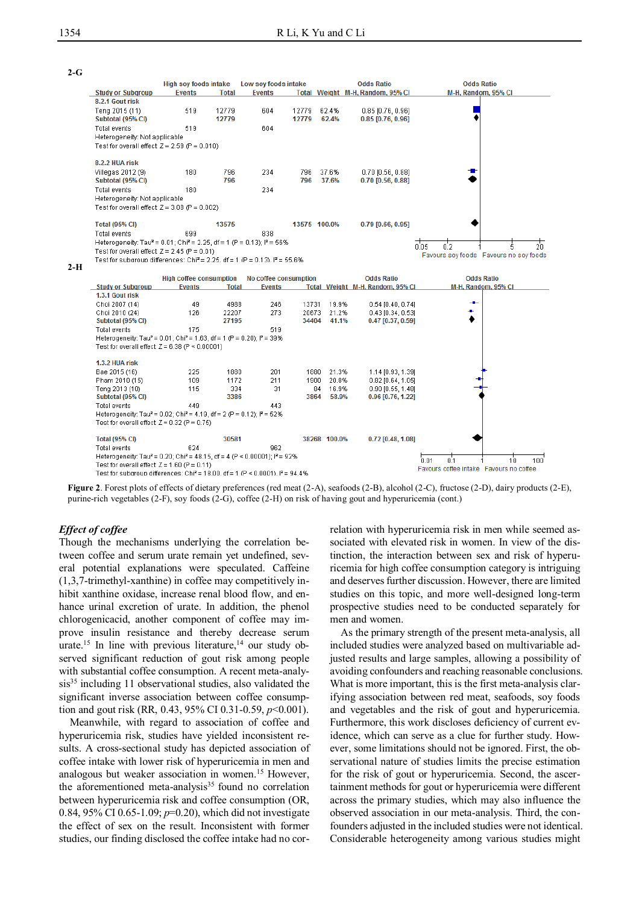**2-G**



**Figure 2**. Forest plots of effects of dietary preferences (red meat (2-A), seafoods (2-B), alcohol (2-C), fructose (2-D), dairy products (2-E), purine-rich vegetables (2-F), soy foods (2-G), coffee (2-H) on risk of having gout and hyperuricemia (cont.)

#### *Effect of coffee*

Though the mechanisms underlying the correlation between coffee and serum urate remain yet undefined, several potential explanations were speculated. Caffeine (1,3,7-trimethyl-xanthine) in coffee may competitively inhibit xanthine oxidase, increase renal blood flow, and enhance urinal excretion of urate. In addition, the phenol chlorogenicacid, another component of coffee may improve insulin resistance and thereby decrease serum urate.<sup>15</sup> In line with previous literature,<sup>14</sup> our study observed significant reduction of gout risk among people with substantial coffee consumption. A recent meta-analysis<sup>35</sup> including 11 observational studies, also validated the significant inverse association between coffee consumption and gout risk (RR, 0.43, 95% CI 0.31-0.59, *p*<0.001).

Meanwhile, with regard to association of coffee and hyperuricemia risk, studies have yielded inconsistent results. A cross-sectional study has depicted association of coffee intake with lower risk of hyperuricemia in men and analogous but weaker association in women.<sup>15</sup> However, the aforementioned meta-analysis $35$  found no correlation between hyperuricemia risk and coffee consumption (OR, 0.84, 95% CI 0.65-1.09; *p*=0.20), which did not investigate the effect of sex on the result. Inconsistent with former studies, our finding disclosed the coffee intake had no correlation with hyperuricemia risk in men while seemed associated with elevated risk in women. In view of the distinction, the interaction between sex and risk of hyperuricemia for high coffee consumption category is intriguing and deserves further discussion. However, there are limited studies on this topic, and more well-designed long-term prospective studies need to be conducted separately for men and women.

As the primary strength of the present meta-analysis, all included studies were analyzed based on multivariable adjusted results and large samples, allowing a possibility of avoiding confounders and reaching reasonable conclusions. What is more important, this is the first meta-analysis clarifying association between red meat, seafoods, soy foods and vegetables and the risk of gout and hyperuricemia. Furthermore, this work discloses deficiency of current evidence, which can serve as a clue for further study. However, some limitations should not be ignored. First, the observational nature of studies limits the precise estimation for the risk of gout or hyperuricemia. Second, the ascertainment methods for gout or hyperuricemia were different across the primary studies, which may also influence the observed association in our meta-analysis. Third, the confounders adjusted in the included studies were not identical. Considerable heterogeneity among various studies might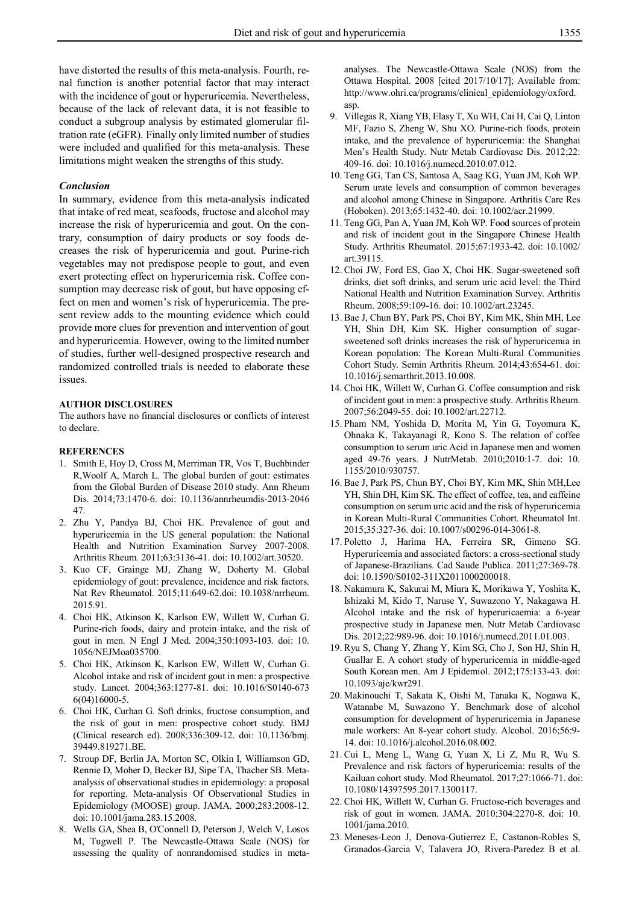have distorted the results of this meta-analysis. Fourth, renal function is another potential factor that may interact with the incidence of gout or hyperuricemia. Nevertheless, because of the lack of relevant data, it is not feasible to conduct a subgroup analysis by estimated glomerular filtration rate (eGFR). Finally only limited number of studies were included and qualified for this meta-analysis. These limitations might weaken the strengths of this study.

### *Conclusion*

In summary, evidence from this meta-analysis indicated that intake of red meat, seafoods, fructose and alcohol may increase the risk of hyperuricemia and gout. On the contrary, consumption of dairy products or soy foods decreases the risk of hyperuricemia and gout. Purine-rich vegetables may not predispose people to gout, and even exert protecting effect on hyperuricemia risk. Coffee consumption may decrease risk of gout, but have opposing effect on men and women's risk of hyperuricemia. The present review adds to the mounting evidence which could provide more clues for prevention and intervention of gout and hyperuricemia. However, owing to the limited number of studies, further well-designed prospective research and randomized controlled trials is needed to elaborate these issues.

### **AUTHOR DISCLOSURES**

The authors have no financial disclosures or conflicts of interest to declare.

### **REFERENCES**

- 1. Smith E, Hoy D, Cross M, Merriman TR, Vos T, Buchbinder R,Woolf A, March L. The global burden of gout: estimates from the Global Burden of Disease 2010 study. Ann Rheum Dis. 2014;73:1470-6. doi: 10.1136/annrheumdis-2013-2046 47.
- 2. Zhu Y, Pandya BJ, Choi HK. Prevalence of gout and hyperuricemia in the US general population: the National Health and Nutrition Examination Survey 2007-2008. Arthritis Rheum. 2011;63:3136-41. doi: 10.1002/art.30520.
- 3. Kuo CF, Grainge MJ, Zhang W, Doherty M. Global epidemiology of gout: prevalence, incidence and risk factors. Nat Rev Rheumatol. 2015;11:649-62.doi: 10.1038/nrrheum. 2015.91.
- 4. Choi HK, Atkinson K, Karlson EW, Willett W, Curhan G. Purine-rich foods, dairy and protein intake, and the risk of gout in men. N Engl J Med. 2004;350:1093-103. doi: 10. 1056/NEJMoa035700.
- 5. Choi HK, Atkinson K, Karlson EW, Willett W, Curhan G. Alcohol intake and risk of incident gout in men: a prospective study. Lancet. 2004;363:1277-81. doi: 10.1016/S0140-673 6(04)16000-5.
- 6. Choi HK, Curhan G. Soft drinks, fructose consumption, and the risk of gout in men: prospective cohort study. BMJ (Clinical research ed). 2008;336:309-12. doi: 10.1136/bmj. 39449.819271.BE.
- 7. Stroup DF, Berlin JA, Morton SC, Olkin I, Williamson GD, Rennie D, Moher D, Becker BJ, Sipe TA, Thacher SB. Metaanalysis of observational studies in epidemiology: a proposal for reporting. Meta-analysis Of Observational Studies in Epidemiology (MOOSE) group. JAMA. 2000;283:2008-12. doi: 10.1001/jama.283.15.2008.
- 8. Wells GA, Shea B, O'Connell D, Peterson J, Welch V, Losos M, Tugwell P. The Newcastle-Ottawa Scale (NOS) for assessing the quality of nonrandomised studies in meta-

analyses. The Newcastle-Ottawa Scale (NOS) from the Ottawa Hospital. 2008 [cited 2017/10/17]; Available from: http://www.ohri.ca/programs/clinical\_epidemiology/oxford. asp.

- 9. Villegas R, Xiang YB, Elasy T, Xu WH, Cai H, Cai Q, Linton MF, Fazio S, Zheng W, Shu XO. Purine-rich foods, protein intake, and the prevalence of hyperuricemia: the Shanghai Men's Health Study. Nutr Metab Cardiovasc Dis. 2012;22: 409-16. doi: 10.1016/j.numecd.2010.07.012.
- 10. Teng GG, Tan CS, Santosa A, Saag KG, Yuan JM, Koh WP. Serum urate levels and consumption of common beverages and alcohol among Chinese in Singapore. Arthritis Care Res (Hoboken). 2013;65:1432-40. doi: 10.1002/acr.21999.
- 11. Teng GG, Pan A, Yuan JM, Koh WP. Food sources of protein and risk of incident gout in the Singapore Chinese Health Study. Arthritis Rheumatol. 2015;67:1933-42. doi: 10.1002/ art.39115.
- 12. Choi JW, Ford ES, Gao X, Choi HK. Sugar-sweetened soft drinks, diet soft drinks, and serum uric acid level: the Third National Health and Nutrition Examination Survey. Arthritis Rheum. 2008;59:109-16. doi: 10.1002/art.23245.
- 13. Bae J, Chun BY, Park PS, Choi BY, Kim MK, Shin MH, Lee YH, Shin DH, Kim SK. Higher consumption of sugarsweetened soft drinks increases the risk of hyperuricemia in Korean population: The Korean Multi-Rural Communities Cohort Study. Semin Arthritis Rheum. 2014;43:654-61. doi: 10.1016/j.semarthrit.2013.10.008.
- 14. Choi HK, Willett W, Curhan G. Coffee consumption and risk of incident gout in men: a prospective study. Arthritis Rheum. 2007;56:2049-55. doi: 10.1002/art.22712.
- 15. Pham NM, Yoshida D, Morita M, Yin G, Toyomura K, Ohnaka K, Takayanagi R, Kono S. The relation of coffee consumption to serum uric Acid in Japanese men and women aged 49-76 years. J NutrMetab. 2010;2010:1-7. doi: 10. 1155/2010/930757.
- 16. Bae J, Park PS, Chun BY, Choi BY, Kim MK, Shin MH,Lee YH, Shin DH, Kim SK. The effect of coffee, tea, and caffeine consumption on serum uric acid and the risk of hyperuricemia in Korean Multi-Rural Communities Cohort. Rheumatol Int. 2015;35:327-36. doi: 10.1007/s00296-014-3061-8.
- 17. Poletto J, Harima HA, Ferreira SR, Gimeno SG. Hyperuricemia and associated factors: a cross-sectional study of Japanese-Brazilians. Cad Saude Publica. 2011;27:369-78. doi: 10.1590/S0102-311X2011000200018.
- 18. Nakamura K, Sakurai M, Miura K, Morikawa Y, Yoshita K, Ishizaki M, Kido T, Naruse Y, Suwazono Y, Nakagawa H. Alcohol intake and the risk of hyperuricaemia: a 6-year prospective study in Japanese men. Nutr Metab Cardiovasc Dis. 2012;22:989-96. doi: 10.1016/j.numecd.2011.01.003.
- 19. Ryu S, Chang Y, Zhang Y, Kim SG, Cho J, Son HJ, Shin H, Guallar E. A cohort study of hyperuricemia in middle-aged South Korean men. Am J Epidemiol. 2012;175:133-43. doi: 10.1093/aje/kwr291.
- 20. Makinouchi T, Sakata K, Oishi M, Tanaka K, Nogawa K, Watanabe M, Suwazono Y. Benchmark dose of alcohol consumption for development of hyperuricemia in Japanese male workers: An 8-year cohort study. Alcohol. 2016;56:9- 14. doi: 10.1016/j.alcohol.2016.08.002.
- 21. Cui L, Meng L, Wang G, Yuan X, Li Z, Mu R, Wu S. Prevalence and risk factors of hyperuricemia: results of the Kailuan cohort study. Mod Rheumatol. 2017;27:1066-71. doi: 10.1080/14397595.2017.1300117.
- 22. Choi HK, Willett W, Curhan G. Fructose-rich beverages and risk of gout in women. JAMA. 2010;304:2270-8. doi: 10. 1001/jama.2010.
- 23. Meneses-Leon J, Denova-Gutierrez E, Castanon-Robles S, Granados-Garcia V, Talavera JO, Rivera-Paredez B et al.